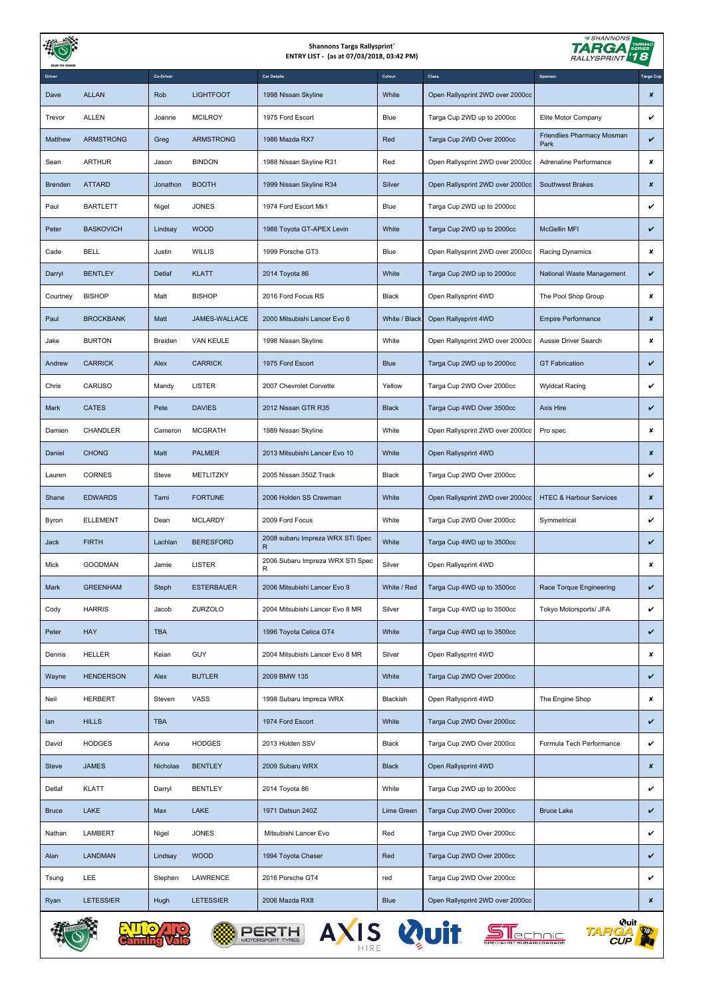|              |                  |            |                   | <b>TARMAC</b><br>SERIES<br>'18<br><b>RALLYSPRINT</b> |               |                                  |                                    |                  |
|--------------|------------------|------------|-------------------|------------------------------------------------------|---------------|----------------------------------|------------------------------------|------------------|
|              |                  | Co-Driver  |                   | <b>Car Details</b>                                   | Colour        | Class                            | Sponsor                            | <b>Targa Cup</b> |
| Dave         | <b>ALLAN</b>     | Rob        | <b>LIGHTFOOT</b>  | 1998 Nissan Skyline                                  | White         | Open Rallysprint 2WD over 2000cc |                                    | $\pmb{\times}$   |
| Trevor       | <b>ALLEN</b>     | Joanne     | <b>MCILROY</b>    | 1975 Ford Escort                                     | Blue          | Targa Cup 2WD up to 2000cc       | Elite Motor Company                | v                |
| Matthew      | <b>ARMSTRONG</b> | Greg       | <b>ARMSTRONG</b>  | 1986 Mazda RX7                                       | Red           | Targa Cup 2WD Over 2000cc        | Friendlies Pharmacy Mosman<br>Park | $\checkmark$     |
| Sean         | <b>ARTHUR</b>    | Jason      | <b>BINDON</b>     | 1988 Nissan Skyline R31                              | Red           | Open Rallysprint 2WD over 2000cc | Adrenaline Performance             | ×                |
| Brenden      | <b>ATTARD</b>    | Jonathon   | <b>BOOTH</b>      | 1999 Nissan Skyline R34                              | Silver        | Open Rallysprint 2WD over 2000cc | <b>Southwest Brakes</b>            | $\pmb{\times}$   |
| Paul         | <b>BARTLETT</b>  | Nigel      | <b>JONES</b>      | 1974 Ford Escort Mk1                                 | Blue          | Targa Cup 2WD up to 2000cc       |                                    | v                |
| Peter        | <b>BASKOVICH</b> | Lindsay    | <b>WOOD</b>       | 1988 Toyota GT-APEX Levin                            | White         | Targa Cup 2WD up to 2000cc       | McGellin MFI                       | v                |
| Cade         | <b>BELL</b>      | Justin     | <b>WILLIS</b>     | 1999 Porsche GT3                                     | Blue          | Open Rallysprint 2WD over 2000cc | Racing Dynamics                    | ×                |
| Darryl       | <b>BENTLEY</b>   | Detlaf     | <b>KLATT</b>      | 2014 Toyota 86                                       | White         | Targa Cup 2WD up to 2000cc       | National Waste Management          | v                |
| Courtney     | <b>BISHOP</b>    | Matt       | <b>BISHOP</b>     | 2016 Ford Focus RS                                   | Black         | Open Rallysprint 4WD             | The Pool Shop Group                | ×                |
| Paul         | <b>BROCKBANK</b> | Matt       | JAMES-WALLACE     | 2000 Mitsubishi Lancer Evo 6                         | White / Black | Open Rallysprint 4WD             | <b>Empire Performance</b>          | $\pmb{\times}$   |
| Jake         | <b>BURTON</b>    | Braiden    | <b>VAN KEULE</b>  | 1998 Nissan Skyline                                  | White         | Open Rallysprint 2WD over 2000cc | Aussie Driver Search               | ×                |
| Andrew       | <b>CARRICK</b>   | Alex       | <b>CARRICK</b>    | 1975 Ford Escort                                     | <b>Blue</b>   | Targa Cup 2WD up to 2000cc       | <b>GT Fabrication</b>              | v                |
| Chris        | CARUSO           | Mandy      | <b>LISTER</b>     | 2007 Chevrolet Corvette                              | Yellow        | Targa Cup 2WD Over 2000cc        | <b>Wyldcat Racing</b>              | v                |
| Mark         | <b>CATES</b>     | Pete       | <b>DAVIES</b>     | 2012 Nissan GTR R35                                  | <b>Black</b>  | Targa Cup 4WD Over 3500cc        | Axis Hire                          | v                |
| Damien       | <b>CHANDLER</b>  | Cameron    | <b>MCGRATH</b>    | 1989 Nissan Skyline                                  | White         | Open Rallysprint 2WD over 2000cc | Pro spec                           | ×                |
| Daniel       | <b>CHONG</b>     | Matt       | <b>PALMER</b>     | 2013 Mitsubishi Lancer Evo 10                        | White         | Open Rallysprint 4WD             |                                    | $\pmb{\times}$   |
| Lauren       | <b>CORNES</b>    | Steve      | METLITZKY         | 2005 Nissan 350Z Track                               | Black         | Targa Cup 2WD Over 2000cc        |                                    | v                |
| Shane        | <b>EDWARDS</b>   | Tarni      | <b>FORTUNE</b>    | 2006 Holden SS Crewman                               | White         | Open Rallysprint 2WD over 2000cc | <b>HTEC &amp; Harbour Services</b> | ×                |
| Byron        | <b>ELLEMENT</b>  | Dean       | <b>MCLARDY</b>    | 2009 Ford Focus                                      | White         | Targa Cup 2WD Over 2000cc        | Symmetrical                        | v                |
| Jack         | <b>FIRTH</b>     | Lachlan    | <b>BERESFORD</b>  | 2008 subaru Impreza WRX STi Spec<br>R                | White         | Targa Cup 4WD up to 3500cc       |                                    | v                |
| Mick         | <b>GOODMAN</b>   | Jamie      | <b>LISTER</b>     | 2006 Subaru Impreza WRX STI Spec<br>R                | Silver        | Open Rallysprint 4WD             |                                    | ×                |
| Mark         | <b>GREENHAM</b>  | Steph      | <b>ESTERBAUER</b> | 2006 Mitsubishi Lancer Evo 9                         | White / Red   | Targa Cup 4WD up to 3500cc       | Race Torque Engineering            | $\checkmark$     |
| Cody         | <b>HARRIS</b>    | Jacob      | ZURZOLO           | 2004 Mitsubishi Lancer Evo 8 MR                      | Silver        | Targa Cup 4WD up to 3500cc       | Tokyo Motorsports/ JFA             | v                |
| Peter        | <b>HAY</b>       | <b>TBA</b> |                   | 1996 Toyota Celica GT4                               | White         | Targa Cup 4WD up to 3500cc       |                                    | $\checkmark$     |
| Dennis       | <b>HELLER</b>    | Keian      | GUY               | 2004 Mitsubishi Lancer Evo 8 MR                      | Silver        | Open Rallysprint 4WD             |                                    | ×                |
| Wayne        | <b>HENDERSON</b> | Alex       | <b>BUTLER</b>     | 2009 BMW 135                                         | White         | Targa Cup 2WD Over 2000cc        |                                    | v                |
| Neil         | <b>HERBERT</b>   | Steven     | VASS              | 1998 Subaru Impreza WRX                              | Blackish      | Open Rallysprint 4WD             | The Engine Shop                    | ×                |
| lan          | <b>HILLS</b>     | <b>TBA</b> |                   | 1974 Ford Escort                                     | White         | Targa Cup 2WD Over 2000cc        |                                    | v                |
| David        | <b>HODGES</b>    | Anna       | <b>HODGES</b>     | 2013 Holden SSV                                      | Black         | Targa Cup 2WD Over 2000cc        | Formula Tech Performance           | $\checkmark$     |
| <b>Steve</b> | <b>JAMES</b>     | Nicholas   | <b>BENTLEY</b>    | 2009 Subaru WRX                                      | <b>Black</b>  | Open Rallysprint 4WD             |                                    | ×                |
| Detlaf       | <b>KLATT</b>     | Darryl     | <b>BENTLEY</b>    | 2014 Toyota 86                                       | White         | Targa Cup 2WD up to 2000cc       |                                    | v                |
| <b>Bruce</b> | LAKE             | Max        | LAKE              | 1971 Datsun 240Z                                     | Lime Green    | Targa Cup 2WD Over 2000cc        | <b>Bruce Lake</b>                  | v                |
| Nathan       | <b>LAMBERT</b>   | Nigel      | <b>JONES</b>      | Mitsubishi Lancer Evo                                | Red           | Targa Cup 2WD Over 2000cc        |                                    | v                |
| Alan         | <b>LANDMAN</b>   | Lindsay    | <b>WOOD</b>       | 1994 Toyota Chaser                                   | Red           | Targa Cup 2WD Over 2000cc        |                                    | v                |
| Tsung        | LEE              | Stephen    | LAWRENCE          | 2016 Porsche GT4                                     | red           | Targa Cup 2WD Over 2000cc        |                                    | v                |
| Ryan         | <b>LETESSIER</b> | Hugh       | <b>LETESSIER</b>  | 2006 Mazda RX8                                       | <b>Blue</b>   | Open Rallysprint 2WD over 2000cc |                                    | ×                |
|              |                  |            |                   |                                                      |               |                                  |                                    |                  |